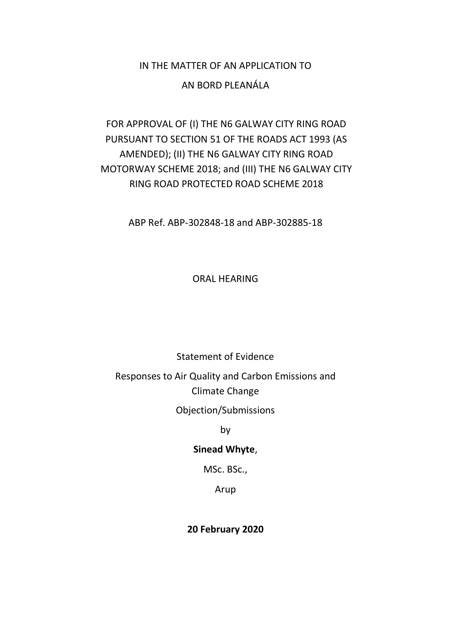# IN THE MATTER OF AN APPLICATION TO

### AN BORD PLEANÁLA

# FOR APPROVAL OF (I) THE N6 GALWAY CITY RING ROAD PURSUANT TO SECTION 51 OF THE ROADS ACT 1993 (AS AMENDED); (II) THE N6 GALWAY CITY RING ROAD MOTORWAY SCHEME 2018; and (III) THE N6 GALWAY CITY RING ROAD PROTECTED ROAD SCHEME 2018

ABP Ref. ABP-302848-18 and ABP-302885-18

ORAL HEARING

### Statement of Evidence

# Responses to Air Quality and Carbon Emissions and Climate Change

Objection/Submissions

by

### **Sinead Whyte**,

MSc. BSc.,

Arup

### **20 February 2020**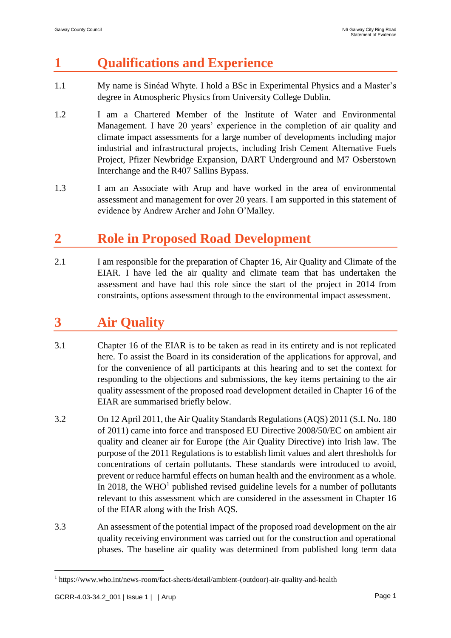# **1 Qualifications and Experience**

- 1.1 My name is Sinéad Whyte. I hold a BSc in Experimental Physics and a Master's degree in Atmospheric Physics from University College Dublin.
- 1.2 I am a Chartered Member of the Institute of Water and Environmental Management. I have 20 years' experience in the completion of air quality and climate impact assessments for a large number of developments including major industrial and infrastructural projects, including Irish Cement Alternative Fuels Project, Pfizer Newbridge Expansion, DART Underground and M7 Osberstown Interchange and the R407 Sallins Bypass.
- 1.3 I am an Associate with Arup and have worked in the area of environmental assessment and management for over 20 years. I am supported in this statement of evidence by Andrew Archer and John O'Malley.

# **2 Role in Proposed Road Development**

2.1 I am responsible for the preparation of Chapter 16, Air Quality and Climate of the EIAR. I have led the air quality and climate team that has undertaken the assessment and have had this role since the start of the project in 2014 from constraints, options assessment through to the environmental impact assessment.

# **3 Air Quality**

- 3.1 Chapter 16 of the EIAR is to be taken as read in its entirety and is not replicated here. To assist the Board in its consideration of the applications for approval, and for the convenience of all participants at this hearing and to set the context for responding to the objections and submissions, the key items pertaining to the air quality assessment of the proposed road development detailed in Chapter 16 of the EIAR are summarised briefly below.
- 3.2 On 12 April 2011, the Air Quality Standards Regulations (AQS) 2011 (S.I. No. 180 of 2011) came into force and transposed EU Directive 2008/50/EC on ambient air quality and cleaner air for Europe (the Air Quality Directive) into Irish law. The purpose of the 2011 Regulations is to establish limit values and alert thresholds for concentrations of certain pollutants. These standards were introduced to avoid, prevent or reduce harmful effects on human health and the environment as a whole. In 2018, the  $WHO<sup>1</sup>$  published revised guideline levels for a number of pollutants relevant to this assessment which are considered in the assessment in Chapter 16 of the EIAR along with the Irish AQS.
- 3.3 An assessment of the potential impact of the proposed road development on the air quality receiving environment was carried out for the construction and operational phases. The baseline air quality was determined from published long term data

<sup>1</sup> [https://www.who.int/news-room/fact-sheets/detail/ambient-\(outdoor\)-air-quality-and-health](https://www.who.int/news-room/fact-sheets/detail/ambient-(outdoor)-air-quality-and-health)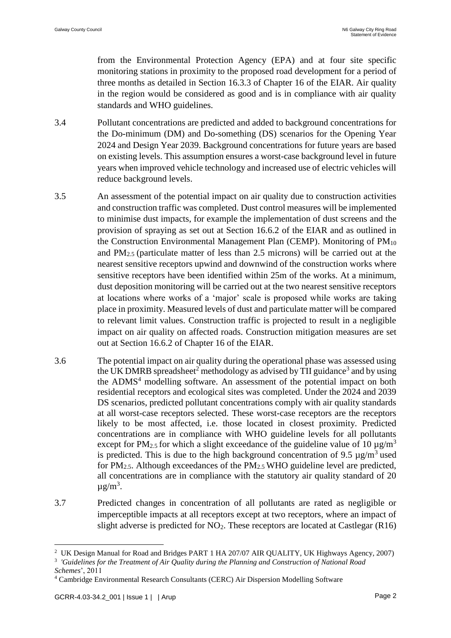from the Environmental Protection Agency (EPA) and at four site specific monitoring stations in proximity to the proposed road development for a period of three months as detailed in Section 16.3.3 of Chapter 16 of the EIAR. Air quality in the region would be considered as good and is in compliance with air quality standards and WHO guidelines.

- 3.4 Pollutant concentrations are predicted and added to background concentrations for the Do-minimum (DM) and Do-something (DS) scenarios for the Opening Year 2024 and Design Year 2039. Background concentrations for future years are based on existing levels. This assumption ensures a worst-case background level in future years when improved vehicle technology and increased use of electric vehicles will reduce background levels.
- 3.5 An assessment of the potential impact on air quality due to construction activities and construction traffic was completed. Dust control measures will be implemented to minimise dust impacts, for example the implementation of dust screens and the provision of spraying as set out at Section 16.6.2 of the EIAR and as outlined in the Construction Environmental Management Plan (CEMP). Monitoring of PM<sup>10</sup> and  $PM_{2.5}$  (particulate matter of less than 2.5 microns) will be carried out at the nearest sensitive receptors upwind and downwind of the construction works where sensitive receptors have been identified within 25m of the works. At a minimum, dust deposition monitoring will be carried out at the two nearest sensitive receptors at locations where works of a 'major' scale is proposed while works are taking place in proximity. Measured levels of dust and particulate matter will be compared to relevant limit values. Construction traffic is projected to result in a negligible impact on air quality on affected roads. Construction mitigation measures are set out at Section 16.6.2 of Chapter 16 of the EIAR.
- 3.6 The potential impact on air quality during the operational phase was assessed using the UK DMRB spreadsheet<sup>2</sup> methodology as advised by TII guidance<sup>3</sup> and by using the  $ADMS<sup>4</sup>$  modelling software. An assessment of the potential impact on both residential receptors and ecological sites was completed. Under the 2024 and 2039 DS scenarios, predicted pollutant concentrations comply with air quality standards at all worst-case receptors selected. These worst-case receptors are the receptors likely to be most affected, i.e. those located in closest proximity. Predicted concentrations are in compliance with WHO guideline levels for all pollutants except for PM<sub>2.5</sub> for which a slight exceedance of the guideline value of 10  $\mu$ g/m<sup>3</sup> is predicted. This is due to the high background concentration of 9.5  $\mu$ g/m<sup>3</sup> used for PM2.5. Although exceedances of the PM2.5 WHO guideline level are predicted, all concentrations are in compliance with the statutory air quality standard of 20  $\mu$ g/m<sup>3</sup>.
- 3.7 Predicted changes in concentration of all pollutants are rated as negligible or imperceptible impacts at all receptors except at two receptors, where an impact of slight adverse is predicted for  $NO<sub>2</sub>$ . These receptors are located at Castlegar (R16)

<sup>&</sup>lt;sup>2</sup> UK Design Manual for Road and Bridges PART 1 HA 207/07 AIR QUALITY, UK Highways Agency, 2007)

<sup>3</sup> *'Guidelines for the Treatment of Air Quality during the Planning and Construction of National Road Schemes*', 2011

<sup>4</sup> Cambridge Environmental Research Consultants (CERC) Air Dispersion Modelling Software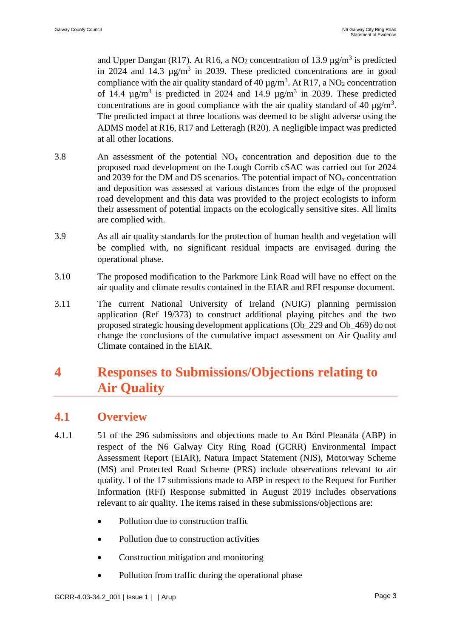and Upper Dangan (R17). At R16, a NO<sub>2</sub> concentration of 13.9  $\mu$ g/m<sup>3</sup> is predicted in 2024 and 14.3  $\mu$ g/m<sup>3</sup> in 2039. These predicted concentrations are in good compliance with the air quality standard of 40  $\mu$ g/m<sup>3</sup>. At R17, a NO<sub>2</sub> concentration of 14.4  $\mu$ g/m<sup>3</sup> is predicted in 2024 and 14.9  $\mu$ g/m<sup>3</sup> in 2039. These predicted concentrations are in good compliance with the air quality standard of 40  $\mu$ g/m<sup>3</sup>. The predicted impact at three locations was deemed to be slight adverse using the ADMS model at R16, R17 and Letteragh (R20). A negligible impact was predicted at all other locations.

- 3.8 An assessment of the potential  $NO<sub>x</sub>$  concentration and deposition due to the proposed road development on the Lough Corrib cSAC was carried out for 2024 and 2039 for the DM and DS scenarios. The potential impact of  $NO<sub>x</sub>$  concentration and deposition was assessed at various distances from the edge of the proposed road development and this data was provided to the project ecologists to inform their assessment of potential impacts on the ecologically sensitive sites. All limits are complied with.
- 3.9 As all air quality standards for the protection of human health and vegetation will be complied with, no significant residual impacts are envisaged during the operational phase.
- 3.10 The proposed modification to the Parkmore Link Road will have no effect on the air quality and climate results contained in the EIAR and RFI response document.
- 3.11 The current National University of Ireland (NUIG) planning permission application (Ref 19/373) to construct additional playing pitches and the two proposed strategic housing development applications (Ob\_229 and Ob\_469) do not change the conclusions of the cumulative impact assessment on Air Quality and Climate contained in the EIAR.

# **4 Responses to Submissions/Objections relating to Air Quality**

## **4.1 Overview**

- 4.1.1 51 of the 296 submissions and objections made to An Bórd Pleanála (ABP) in respect of the N6 Galway City Ring Road (GCRR) Environmental Impact Assessment Report (EIAR), Natura Impact Statement (NIS), Motorway Scheme (MS) and Protected Road Scheme (PRS) include observations relevant to air quality. 1 of the 17 submissions made to ABP in respect to the Request for Further Information (RFI) Response submitted in August 2019 includes observations relevant to air quality. The items raised in these submissions/objections are:
	- Pollution due to construction traffic
	- Pollution due to construction activities
	- Construction mitigation and monitoring
	- Pollution from traffic during the operational phase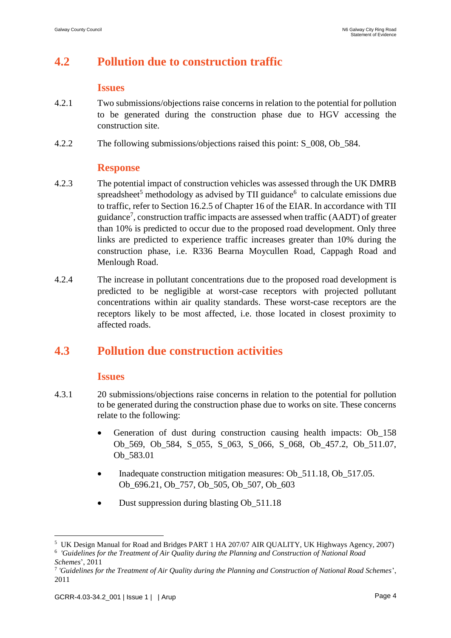## **4.2 Pollution due to construction traffic**

#### **Issues**

- 4.2.1 Two submissions/objections raise concerns in relation to the potential for pollution to be generated during the construction phase due to HGV accessing the construction site.
- 4.2.2 The following submissions/objections raised this point: S\_008, Ob\_584.

#### **Response**

- 4.2.3 The potential impact of construction vehicles was assessed through the UK DMRB spreadsheet<sup>5</sup> methodology as advised by TII guidance<sup>6</sup> to calculate emissions due to traffic, refer to Section 16.2.5 of Chapter 16 of the EIAR. In accordance with TII guidance<sup>7</sup>, construction traffic impacts are assessed when traffic (AADT) of greater than 10% is predicted to occur due to the proposed road development. Only three links are predicted to experience traffic increases greater than 10% during the construction phase, i.e. R336 Bearna Moycullen Road, Cappagh Road and Menlough Road.
- 4.2.4 The increase in pollutant concentrations due to the proposed road development is predicted to be negligible at worst-case receptors with projected pollutant concentrations within air quality standards. These worst-case receptors are the receptors likely to be most affected, i.e. those located in closest proximity to affected roads.

## **4.3 Pollution due construction activities**

#### **Issues**

- 4.3.1 20 submissions/objections raise concerns in relation to the potential for pollution to be generated during the construction phase due to works on site. These concerns relate to the following:
	- Generation of dust during construction causing health impacts: Ob 158 Ob\_569, Ob\_584, S\_055, S\_063, S\_066, S\_068, Ob\_457.2, Ob\_511.07, Ob\_583.01
	- Inadequate construction mitigation measures: Ob\_511.18, Ob\_517.05. Ob 696.21, Ob 757, Ob 505, Ob 507, Ob 603
	- Dust suppression during blasting Ob\_511.18

<u>.</u>

<sup>&</sup>lt;sup>5</sup> UK Design Manual for Road and Bridges PART 1 HA 207/07 AIR QUALITY, UK Highways Agency, 2007)

<sup>6</sup> *'Guidelines for the Treatment of Air Quality during the Planning and Construction of National Road Schemes*', 2011

<sup>7</sup> *'Guidelines for the Treatment of Air Quality during the Planning and Construction of National Road Schemes*', 2011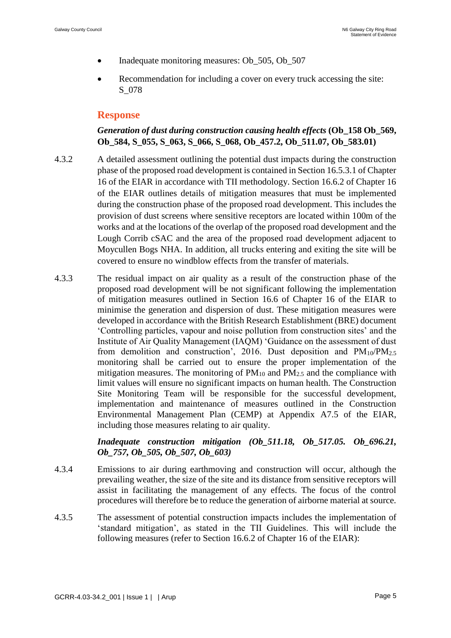- Inadequate monitoring measures: Ob\_505, Ob\_507
- Recommendation for including a cover on every truck accessing the site: S\_078

### **Response**

#### *Generation of dust during construction causing health effects* **(Ob\_158 Ob\_569, Ob\_584, S\_055, S\_063, S\_066, S\_068, Ob\_457.2, Ob\_511.07, Ob\_583.01)**

- 4.3.2 A detailed assessment outlining the potential dust impacts during the construction phase of the proposed road development is contained in Section 16.5.3.1 of Chapter 16 of the EIAR in accordance with TII methodology. Section 16.6.2 of Chapter 16 of the EIAR outlines details of mitigation measures that must be implemented during the construction phase of the proposed road development. This includes the provision of dust screens where sensitive receptors are located within 100m of the works and at the locations of the overlap of the proposed road development and the Lough Corrib cSAC and the area of the proposed road development adjacent to Moycullen Bogs NHA. In addition, all trucks entering and exiting the site will be covered to ensure no windblow effects from the transfer of materials.
- 4.3.3 The residual impact on air quality as a result of the construction phase of the proposed road development will be not significant following the implementation of mitigation measures outlined in Section 16.6 of Chapter 16 of the EIAR to minimise the generation and dispersion of dust. These mitigation measures were developed in accordance with the British Research Establishment (BRE) document 'Controlling particles, vapour and noise pollution from construction sites' and the Institute of Air Quality Management (IAQM) 'Guidance on the assessment of dust from demolition and construction', 2016. Dust deposition and  $PM_{10}/PM_{2.5}$ monitoring shall be carried out to ensure the proper implementation of the mitigation measures. The monitoring of  $PM_{10}$  and  $PM_{2.5}$  and the compliance with limit values will ensure no significant impacts on human health. The Construction Site Monitoring Team will be responsible for the successful development, implementation and maintenance of measures outlined in the Construction Environmental Management Plan (CEMP) at Appendix A7.5 of the EIAR, including those measures relating to air quality.

*Inadequate construction mitigation (Ob\_511.18, Ob\_517.05. Ob\_696.21, Ob\_757, Ob\_505, Ob\_507, Ob\_603)*

- 4.3.4 Emissions to air during earthmoving and construction will occur, although the prevailing weather, the size of the site and its distance from sensitive receptors will assist in facilitating the management of any effects. The focus of the control procedures will therefore be to reduce the generation of airborne material at source.
- 4.3.5 The assessment of potential construction impacts includes the implementation of 'standard mitigation', as stated in the TII Guidelines. This will include the following measures (refer to Section 16.6.2 of Chapter 16 of the EIAR):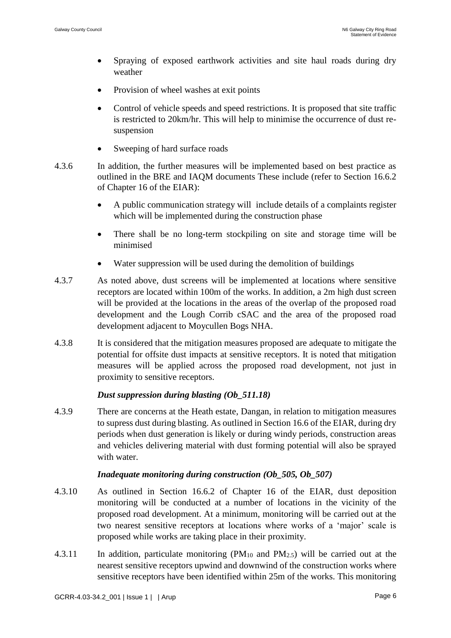- Spraying of exposed earthwork activities and site haul roads during dry weather
- Provision of wheel washes at exit points
- Control of vehicle speeds and speed restrictions. It is proposed that site traffic is restricted to 20km/hr. This will help to minimise the occurrence of dust resuspension
- Sweeping of hard surface roads
- 4.3.6 In addition, the further measures will be implemented based on best practice as outlined in the BRE and IAQM documents These include (refer to Section 16.6.2 of Chapter 16 of the EIAR):
	- A public communication strategy will include details of a complaints register which will be implemented during the construction phase
	- There shall be no long-term stockpiling on site and storage time will be minimised
	- Water suppression will be used during the demolition of buildings
- 4.3.7 As noted above, dust screens will be implemented at locations where sensitive receptors are located within 100m of the works. In addition, a 2m high dust screen will be provided at the locations in the areas of the overlap of the proposed road development and the Lough Corrib cSAC and the area of the proposed road development adjacent to Moycullen Bogs NHA.
- 4.3.8 It is considered that the mitigation measures proposed are adequate to mitigate the potential for offsite dust impacts at sensitive receptors. It is noted that mitigation measures will be applied across the proposed road development, not just in proximity to sensitive receptors.

#### *Dust suppression during blasting (Ob\_511.18)*

4.3.9 There are concerns at the Heath estate, Dangan, in relation to mitigation measures to supress dust during blasting. As outlined in Section 16.6 of the EIAR, during dry periods when dust generation is likely or during windy periods, construction areas and vehicles delivering material with dust forming potential will also be sprayed with water.

#### *Inadequate monitoring during construction (Ob\_505, Ob\_507)*

- 4.3.10 As outlined in Section 16.6.2 of Chapter 16 of the EIAR, dust deposition monitoring will be conducted at a number of locations in the vicinity of the proposed road development. At a minimum, monitoring will be carried out at the two nearest sensitive receptors at locations where works of a 'major' scale is proposed while works are taking place in their proximity.
- 4.3.11 In addition, particulate monitoring  $(PM_{10}$  and  $PM_{2.5})$  will be carried out at the nearest sensitive receptors upwind and downwind of the construction works where sensitive receptors have been identified within 25m of the works. This monitoring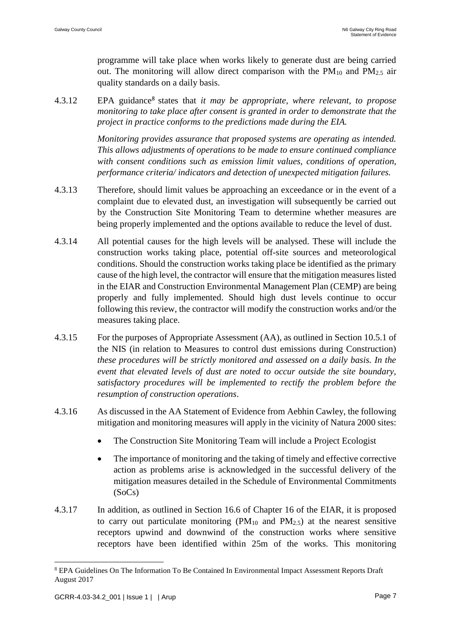programme will take place when works likely to generate dust are being carried out. The monitoring will allow direct comparison with the  $PM_{10}$  and  $PM_{2.5}$  air quality standards on a daily basis.

4.3.12 EPA guidance<sup>8</sup> states that *it may be appropriate, where relevant, to propose monitoring to take place after consent is granted in order to demonstrate that the project in practice conforms to the predictions made during the EIA.*

> *Monitoring provides assurance that proposed systems are operating as intended. This allows adjustments of operations to be made to ensure continued compliance with consent conditions such as emission limit values, conditions of operation, performance criteria/ indicators and detection of unexpected mitigation failures.*

- 4.3.13 Therefore, should limit values be approaching an exceedance or in the event of a complaint due to elevated dust, an investigation will subsequently be carried out by the Construction Site Monitoring Team to determine whether measures are being properly implemented and the options available to reduce the level of dust.
- 4.3.14 All potential causes for the high levels will be analysed. These will include the construction works taking place, potential off-site sources and meteorological conditions. Should the construction works taking place be identified as the primary cause of the high level, the contractor will ensure that the mitigation measures listed in the EIAR and Construction Environmental Management Plan (CEMP) are being properly and fully implemented. Should high dust levels continue to occur following this review, the contractor will modify the construction works and/or the measures taking place.
- 4.3.15 For the purposes of Appropriate Assessment (AA), as outlined in Section 10.5.1 of the NIS (in relation to Measures to control dust emissions during Construction) *these procedures will be strictly monitored and assessed on a daily basis. In the event that elevated levels of dust are noted to occur outside the site boundary, satisfactory procedures will be implemented to rectify the problem before the resumption of construction operations*.
- 4.3.16 As discussed in the AA Statement of Evidence from Aebhin Cawley, the following mitigation and monitoring measures will apply in the vicinity of Natura 2000 sites:
	- The Construction Site Monitoring Team will include a Project Ecologist
	- The importance of monitoring and the taking of timely and effective corrective action as problems arise is acknowledged in the successful delivery of the mitigation measures detailed in the Schedule of Environmental Commitments (SoCs)
- 4.3.17 In addition, as outlined in Section 16.6 of Chapter 16 of the EIAR, it is proposed to carry out particulate monitoring  $(PM_{10}$  and  $PM_{2.5})$  at the nearest sensitive receptors upwind and downwind of the construction works where sensitive receptors have been identified within 25m of the works. This monitoring

<u>.</u>

<sup>8</sup> EPA Guidelines On The Information To Be Contained In Environmental Impact Assessment Reports Draft August 2017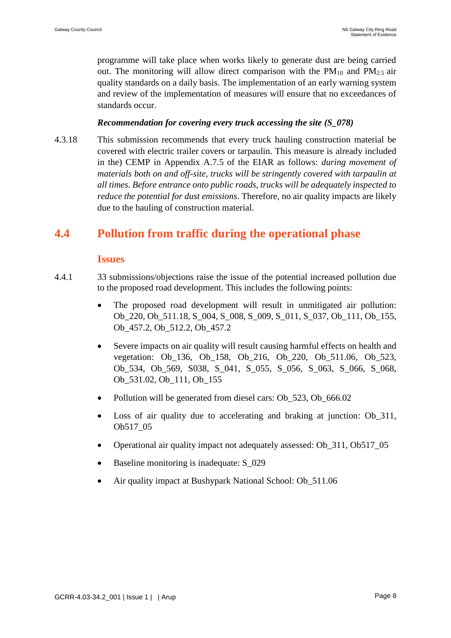programme will take place when works likely to generate dust are being carried out. The monitoring will allow direct comparison with the  $PM_{10}$  and  $PM_{2.5}$  air quality standards on a daily basis. The implementation of an early warning system and review of the implementation of measures will ensure that no exceedances of standards occur.

#### *Recommendation for covering every truck accessing the site (S\_078)*

4.3.18 This submission recommends that every truck hauling construction material be covered with electric trailer covers or tarpaulin. This measure is already included in the) CEMP in Appendix A.7.5 of the EIAR as follows: *during movement of materials both on and off-site, trucks will be stringently covered with tarpaulin at all times. Before entrance onto public roads, trucks will be adequately inspected to reduce the potential for dust emissions*. Therefore, no air quality impacts are likely due to the hauling of construction material.

## **4.4 Pollution from traffic during the operational phase**

#### **Issues**

- 4.4.1 33 submissions/objections raise the issue of the potential increased pollution due to the proposed road development. This includes the following points:
	- The proposed road development will result in unmitigated air pollution: Ob\_220, Ob\_511.18, S\_004, S\_008, S\_009, S\_011, S\_037, Ob\_111, Ob\_155, Ob\_457.2, Ob\_512.2, Ob\_457.2
	- Severe impacts on air quality will result causing harmful effects on health and vegetation: Ob\_136, Ob\_158, Ob\_216, Ob\_220, Ob\_511.06, Ob\_523, Ob\_534, Ob\_569, S038, S\_041, S\_055, S\_056, S\_063, S\_066, S\_068, Ob 531.02, Ob 111, Ob 155
	- Pollution will be generated from diesel cars: Ob 523, Ob 666.02
	- Loss of air quality due to accelerating and braking at junction: Ob\_311, Ob517\_05
	- Operational air quality impact not adequately assessed: Ob\_311, Ob517\_05
	- Baseline monitoring is inadequate:  $S_0$ 29
	- Air quality impact at Bushypark National School: Ob\_511.06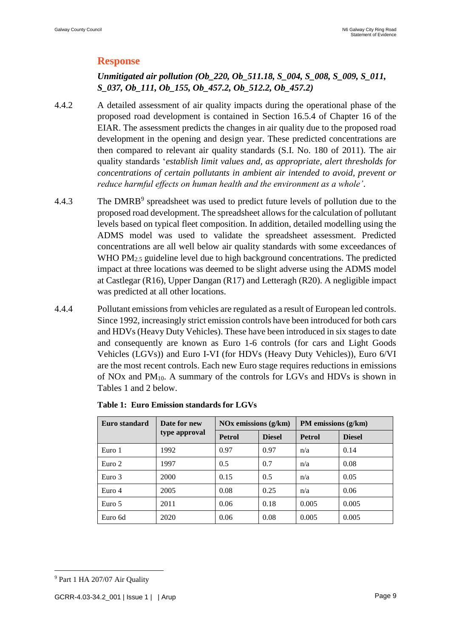### **Response**

### *Unmitigated air pollution (Ob\_220, Ob\_511.18, S\_004, S\_008, S\_009, S\_011, S\_037, Ob\_111, Ob\_155, Ob\_457.2, Ob\_512.2, Ob\_457.2)*

- 4.4.2 A detailed assessment of air quality impacts during the operational phase of the proposed road development is contained in Section 16.5.4 of Chapter 16 of the EIAR. The assessment predicts the changes in air quality due to the proposed road development in the opening and design year. These predicted concentrations are then compared to relevant air quality standards (S.I. No. 180 of 2011). The air quality standards '*establish limit values and, as appropriate, alert thresholds for concentrations of certain pollutants in ambient air intended to avoid, prevent or reduce harmful effects on human health and the environment as a whole'*.
- 4.4.3 The DMRB<sup>9</sup> spreadsheet was used to predict future levels of pollution due to the proposed road development. The spreadsheet allows for the calculation of pollutant levels based on typical fleet composition. In addition, detailed modelling using the ADMS model was used to validate the spreadsheet assessment. Predicted concentrations are all well below air quality standards with some exceedances of WHO PM<sub>2.5</sub> guideline level due to high background concentrations. The predicted impact at three locations was deemed to be slight adverse using the ADMS model at Castlegar (R16), Upper Dangan (R17) and Letteragh (R20). A negligible impact was predicted at all other locations.
- 4.4.4 Pollutant emissions from vehicles are regulated as a result of European led controls. Since 1992, increasingly strict emission controls have been introduced for both cars and HDVs (Heavy Duty Vehicles). These have been introduced in six stages to date and consequently are known as Euro 1-6 controls (for cars and Light Goods Vehicles (LGVs)) and Euro I-VI (for HDVs (Heavy Duty Vehicles)), Euro 6/VI are the most recent controls. Each new Euro stage requires reductions in emissions of NOx and  $PM_{10}$ . A summary of the controls for LGVs and HDVs is shown in Tables 1 and 2 below.

| Euro standard | Date for new  | $\overline{\text{NOx}}$ emissions (g/km) |               | PM emissions $(g/km)$ |               |
|---------------|---------------|------------------------------------------|---------------|-----------------------|---------------|
|               | type approval | <b>Petrol</b>                            | <b>Diesel</b> | <b>Petrol</b>         | <b>Diesel</b> |
| Euro 1        | 1992          | 0.97                                     | 0.97          | n/a                   | 0.14          |
| Euro 2        | 1997          | 0.5                                      | 0.7           | n/a                   | 0.08          |
| Euro 3        | 2000          | 0.15                                     | 0.5           | n/a                   | 0.05          |
| Euro 4        | 2005          | 0.08                                     | 0.25          | n/a                   | 0.06          |
| Euro 5        | 2011          | 0.06                                     | 0.18          | 0.005                 | 0.005         |
| Euro 6d       | 2020          | 0.06                                     | 0.08          | 0.005                 | 0.005         |

|  | <b>Table 1: Euro Emission standards for LGVs</b> |  |  |
|--|--------------------------------------------------|--|--|
|--|--------------------------------------------------|--|--|

<sup>9</sup> Part 1 HA 207/07 Air Quality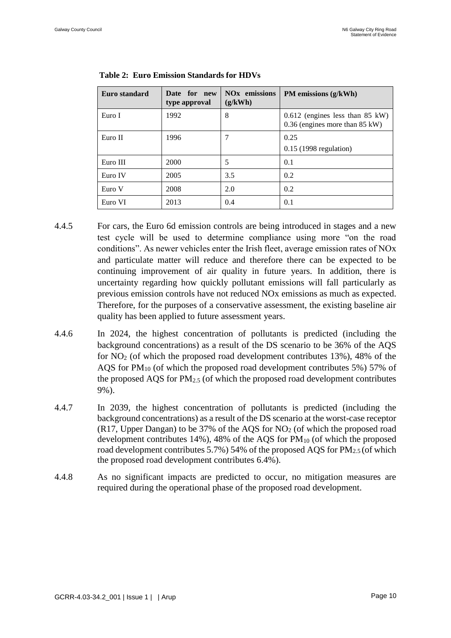| Euro standard | Date for new<br>type approval | <b>NO<sub>x</sub></b> emissions<br>(g/kWh) | PM emissions (g/kWh)                                                  |
|---------------|-------------------------------|--------------------------------------------|-----------------------------------------------------------------------|
| Euro I        | 1992                          | 8                                          | $0.612$ (engines less than 85 kW)<br>$0.36$ (engines more than 85 kW) |
| Euro II       | 1996                          | 7                                          | 0.25<br>$0.15$ (1998 regulation)                                      |
| Euro III      | 2000                          | 5                                          | 0.1                                                                   |
| Euro IV       | 2005                          | 3.5                                        | 0.2                                                                   |
| Euro V        | 2008                          | 2.0                                        | 0.2                                                                   |
| Euro VI       | 2013                          | 0.4                                        | 0.1                                                                   |

**Table 2: Euro Emission Standards for HDVs**

- 4.4.5 For cars, the Euro 6d emission controls are being introduced in stages and a new test cycle will be used to determine compliance using more "on the road conditions". As newer vehicles enter the Irish fleet, average emission rates of NOx and particulate matter will reduce and therefore there can be expected to be continuing improvement of air quality in future years. In addition, there is uncertainty regarding how quickly pollutant emissions will fall particularly as previous emission controls have not reduced NOx emissions as much as expected. Therefore, for the purposes of a conservative assessment, the existing baseline air quality has been applied to future assessment years.
- 4.4.6 In 2024, the highest concentration of pollutants is predicted (including the background concentrations) as a result of the DS scenario to be 36% of the AQS for  $NO<sub>2</sub>$  (of which the proposed road development contributes 13%), 48% of the AQS for  $PM_{10}$  (of which the proposed road development contributes 5%) 57% of the proposed AQS for  $PM<sub>2.5</sub>$  (of which the proposed road development contributes 9%).
- 4.4.7 In 2039, the highest concentration of pollutants is predicted (including the background concentrations) as a result of the DS scenario at the worst-case receptor  $(R17, Upper Dangan)$  to be 37% of the AOS for  $NO<sub>2</sub>$  (of which the proposed road development contributes  $14\%$ ),  $48\%$  of the AQS for PM<sub>10</sub> (of which the proposed road development contributes 5.7%) 54% of the proposed AQS for PM<sub>2.5</sub> (of which the proposed road development contributes 6.4%).
- 4.4.8 As no significant impacts are predicted to occur, no mitigation measures are required during the operational phase of the proposed road development.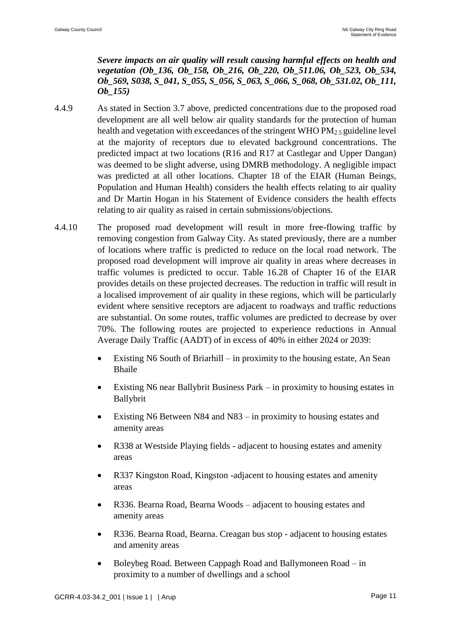*Severe impacts on air quality will result causing harmful effects on health and vegetation (Ob\_136, Ob\_158, Ob\_216, Ob\_220, Ob\_511.06, Ob\_523, Ob\_534, Ob\_569, S038, S\_041, S\_055, S\_056, S\_063, S\_066, S\_068, Ob\_531.02, Ob\_111, Ob\_155)*

- 4.4.9 As stated in Section 3.7 above, predicted concentrations due to the proposed road development are all well below air quality standards for the protection of human health and vegetation with exceedances of the stringent WHO PM2.5 guideline level at the majority of receptors due to elevated background concentrations. The predicted impact at two locations (R16 and R17 at Castlegar and Upper Dangan) was deemed to be slight adverse, using DMRB methodology. A negligible impact was predicted at all other locations. Chapter 18 of the EIAR (Human Beings, Population and Human Health) considers the health effects relating to air quality and Dr Martin Hogan in his Statement of Evidence considers the health effects relating to air quality as raised in certain submissions/objections.
- 4.4.10 The proposed road development will result in more free-flowing traffic by removing congestion from Galway City. As stated previously, there are a number of locations where traffic is predicted to reduce on the local road network. The proposed road development will improve air quality in areas where decreases in traffic volumes is predicted to occur. Table 16.28 of Chapter 16 of the EIAR provides details on these projected decreases. The reduction in traffic will result in a localised improvement of air quality in these regions, which will be particularly evident where sensitive receptors are adjacent to roadways and traffic reductions are substantial. On some routes, traffic volumes are predicted to decrease by over 70%. The following routes are projected to experience reductions in Annual Average Daily Traffic (AADT) of in excess of 40% in either 2024 or 2039:
	- Existing N6 South of Briarhill in proximity to the housing estate, An Sean Bhaile
	- Existing N6 near Ballybrit Business Park in proximity to housing estates in Ballybrit
	- Existing N6 Between N84 and N83 in proximity to housing estates and amenity areas
	- R338 at Westside Playing fields adjacent to housing estates and amenity areas
	- R337 Kingston Road, Kingston -adjacent to housing estates and amenity areas
	- R336. Bearna Road, Bearna Woods adjacent to housing estates and amenity areas
	- R336. Bearna Road, Bearna. Creagan bus stop adjacent to housing estates and amenity areas
	- Boleybeg Road. Between Cappagh Road and Ballymoneen Road in proximity to a number of dwellings and a school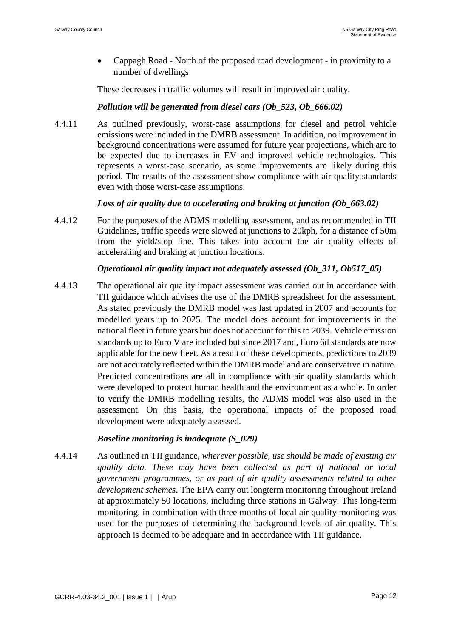• Cappagh Road - North of the proposed road development - in proximity to a number of dwellings

These decreases in traffic volumes will result in improved air quality.

#### *Pollution will be generated from diesel cars (Ob\_523, Ob\_666.02)*

4.4.11 As outlined previously, worst-case assumptions for diesel and petrol vehicle emissions were included in the DMRB assessment. In addition, no improvement in background concentrations were assumed for future year projections, which are to be expected due to increases in EV and improved vehicle technologies. This represents a worst-case scenario, as some improvements are likely during this period. The results of the assessment show compliance with air quality standards even with those worst-case assumptions.

#### *Loss of air quality due to accelerating and braking at junction (Ob\_663.02)*

4.4.12 For the purposes of the ADMS modelling assessment, and as recommended in TII Guidelines, traffic speeds were slowed at junctions to 20kph, for a distance of 50m from the yield/stop line. This takes into account the air quality effects of accelerating and braking at junction locations.

#### *Operational air quality impact not adequately assessed (Ob\_311, Ob517\_05)*

4.4.13 The operational air quality impact assessment was carried out in accordance with TII guidance which advises the use of the DMRB spreadsheet for the assessment. As stated previously the DMRB model was last updated in 2007 and accounts for modelled years up to 2025. The model does account for improvements in the national fleet in future years but does not account for this to 2039. Vehicle emission standards up to Euro V are included but since 2017 and, Euro 6d standards are now applicable for the new fleet. As a result of these developments, predictions to 2039 are not accurately reflected within the DMRB model and are conservative in nature. Predicted concentrations are all in compliance with air quality standards which were developed to protect human health and the environment as a whole. In order to verify the DMRB modelling results, the ADMS model was also used in the assessment. On this basis, the operational impacts of the proposed road development were adequately assessed.

#### *Baseline monitoring is inadequate (S\_029)*

4.4.14 As outlined in TII guidance, *wherever possible, use should be made of existing air quality data. These may have been collected as part of national or local government programmes, or as part of air quality assessments related to other development schemes*. The EPA carry out longterm monitoring throughout Ireland at approximately 50 locations, including three stations in Galway. This long-term monitoring, in combination with three months of local air quality monitoring was used for the purposes of determining the background levels of air quality. This approach is deemed to be adequate and in accordance with TII guidance.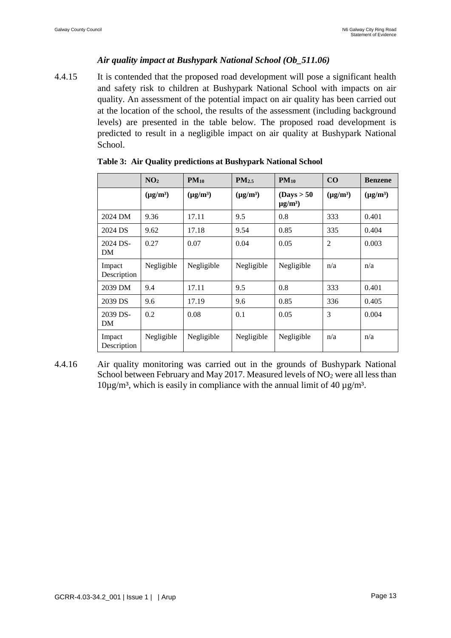#### *Air quality impact at Bushypark National School (Ob\_511.06)*

4.4.15 It is contended that the proposed road development will pose a significant health and safety risk to children at Bushypark National School with impacts on air quality. An assessment of the potential impact on air quality has been carried out at the location of the school, the results of the assessment (including background levels) are presented in the table below. The proposed road development is predicted to result in a negligible impact on air quality at Bushypark National School.

|                       | NO <sub>2</sub> | $PM_{10}$     | PM2.5         | $PM_{10}$                              | CO             | <b>Benzene</b> |
|-----------------------|-----------------|---------------|---------------|----------------------------------------|----------------|----------------|
|                       | $(\mu g/m^3)$   | $(\mu g/m^3)$ | $(\mu g/m^3)$ | (Days > 50<br>$\mu$ g/m <sup>3</sup> ) | $(\mu g/m^3)$  | $(\mu g/m^3)$  |
| 2024 DM               | 9.36            | 17.11         | 9.5           | 0.8                                    | 333            | 0.401          |
| 2024 DS               | 9.62            | 17.18         | 9.54          | 0.85                                   | 335            | 0.404          |
| 2024 DS-<br>DM        | 0.27            | 0.07          | 0.04          | 0.05                                   | $\overline{2}$ | 0.003          |
| Impact<br>Description | Negligible      | Negligible    | Negligible    | Negligible                             | n/a            | n/a            |
| 2039 DM               | 9.4             | 17.11         | 9.5           | 0.8                                    | 333            | 0.401          |
| 2039 DS               | 9.6             | 17.19         | 9.6           | 0.85                                   | 336            | 0.405          |
| 2039 DS-<br>DM        | 0.2             | 0.08          | 0.1           | 0.05                                   | 3              | 0.004          |
| Impact<br>Description | Negligible      | Negligible    | Negligible    | Negligible                             | n/a            | n/a            |

|  |  |  |  | Table 3: Air Quality predictions at Bushypark National School |
|--|--|--|--|---------------------------------------------------------------|
|--|--|--|--|---------------------------------------------------------------|

4.4.16 Air quality monitoring was carried out in the grounds of Bushypark National School between February and May 2017. Measured levels of  $NO<sub>2</sub>$  were all less than  $10\mu$ g/m<sup>3</sup>, which is easily in compliance with the annual limit of 40  $\mu$ g/m<sup>3</sup>.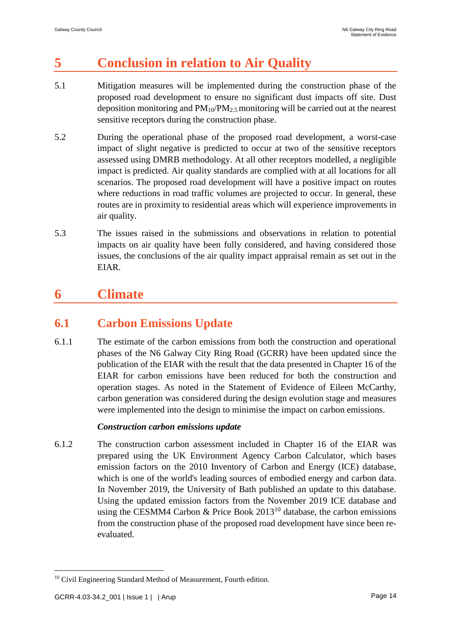# **5 Conclusion in relation to Air Quality**

- 5.1 Mitigation measures will be implemented during the construction phase of the proposed road development to ensure no significant dust impacts off site. Dust deposition monitoring and  $PM_{10}/PM_{2.5}$  monitoring will be carried out at the nearest sensitive receptors during the construction phase.
- 5.2 During the operational phase of the proposed road development, a worst-case impact of slight negative is predicted to occur at two of the sensitive receptors assessed using DMRB methodology. At all other receptors modelled, a negligible impact is predicted. Air quality standards are complied with at all locations for all scenarios. The proposed road development will have a positive impact on routes where reductions in road traffic volumes are projected to occur. In general, these routes are in proximity to residential areas which will experience improvements in air quality.
- 5.3 The issues raised in the submissions and observations in relation to potential impacts on air quality have been fully considered, and having considered those issues, the conclusions of the air quality impact appraisal remain as set out in the EIAR.

# **6 Climate**

# **6.1 Carbon Emissions Update**

6.1.1 The estimate of the carbon emissions from both the construction and operational phases of the N6 Galway City Ring Road (GCRR) have been updated since the publication of the EIAR with the result that the data presented in Chapter 16 of the EIAR for carbon emissions have been reduced for both the construction and operation stages. As noted in the Statement of Evidence of Eileen McCarthy, carbon generation was considered during the design evolution stage and measures were implemented into the design to minimise the impact on carbon emissions.

#### *Construction carbon emissions update*

6.1.2 The construction carbon assessment included in Chapter 16 of the EIAR was prepared using the UK Environment Agency Carbon Calculator, which bases emission factors on the 2010 Inventory of Carbon and Energy (ICE) database, which is one of the world's leading sources of embodied energy and carbon data. In November 2019, the University of Bath published an update to this database. Using the updated emission factors from the November 2019 ICE database and using the CESMM4 Carbon & Price Book  $2013^{10}$  database, the carbon emissions from the construction phase of the proposed road development have since been reevaluated.

<sup>&</sup>lt;sup>10</sup> Civil Engineering Standard Method of Measurement, Fourth edition.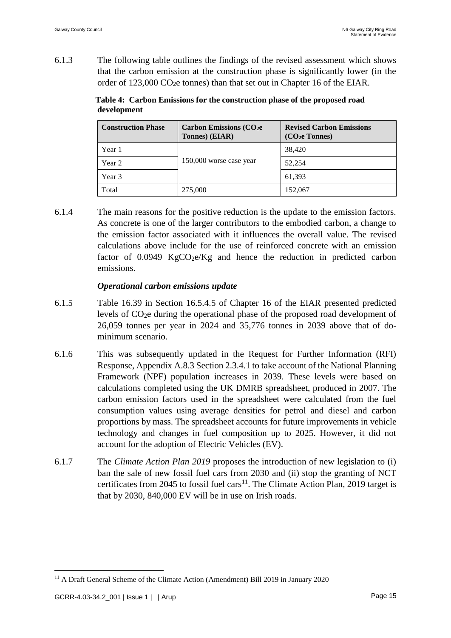6.1.3 The following table outlines the findings of the revised assessment which shows that the carbon emission at the construction phase is significantly lower (in the order of  $123,000 \text{ CO}_2$ e tonnes) than that set out in Chapter 16 of the EIAR.

**Table 4: Carbon Emissions for the construction phase of the proposed road development**

| <b>Construction Phase</b><br><b>Carbon Emissions (CO2e</b><br>Tonnes) (EIAR) |                         | <b>Revised Carbon Emissions</b><br>$(CO2e$ Tonnes) |  |
|------------------------------------------------------------------------------|-------------------------|----------------------------------------------------|--|
| Year 1                                                                       |                         | 38,420                                             |  |
| Year 2                                                                       | 150,000 worse case year | 52.254                                             |  |
| Year 3                                                                       |                         | 61,393                                             |  |
| Total                                                                        | 275,000                 | 152,067                                            |  |

6.1.4 The main reasons for the positive reduction is the update to the emission factors. As concrete is one of the larger contributors to the embodied carbon, a change to the emission factor associated with it influences the overall value. The revised calculations above include for the use of reinforced concrete with an emission factor of  $0.0949$  KgCO<sub>2</sub>e/Kg and hence the reduction in predicted carbon emissions.

#### *Operational carbon emissions update*

- 6.1.5 Table 16.39 in Section 16.5.4.5 of Chapter 16 of the EIAR presented predicted levels of CO2e during the operational phase of the proposed road development of 26,059 tonnes per year in 2024 and 35,776 tonnes in 2039 above that of dominimum scenario.
- 6.1.6 This was subsequently updated in the Request for Further Information (RFI) Response, Appendix A.8.3 Section 2.3.4.1 to take account of the National Planning Framework (NPF) population increases in 2039. These levels were based on calculations completed using the UK DMRB spreadsheet, produced in 2007. The carbon emission factors used in the spreadsheet were calculated from the fuel consumption values using average densities for petrol and diesel and carbon proportions by mass. The spreadsheet accounts for future improvements in vehicle technology and changes in fuel composition up to 2025. However, it did not account for the adoption of Electric Vehicles (EV).
- 6.1.7 The *Climate Action Plan 2019* proposes the introduction of new legislation to (i) ban the sale of new fossil fuel cars from 2030 and (ii) stop the granting of NCT certificates from 2045 to fossil fuel cars<sup>11</sup>. The Climate Action Plan, 2019 target is that by 2030, 840,000 EV will be in use on Irish roads.

<sup>&</sup>lt;sup>11</sup> A Draft General Scheme of the Climate Action (Amendment) Bill 2019 in January 2020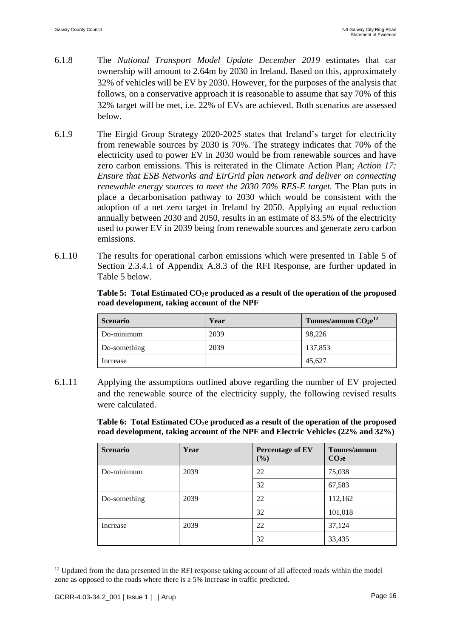- 6.1.8 The *National Transport Model Update December 2019* estimates that car ownership will amount to 2.64m by 2030 in Ireland. Based on this, approximately 32% of vehicles will be EV by 2030. However, for the purposes of the analysis that follows, on a conservative approach it is reasonable to assume that say 70% of this 32% target will be met, i.e. 22% of EVs are achieved. Both scenarios are assessed below.
- 6.1.9 The Eirgid Group Strategy 2020-2025 states that Ireland's target for electricity from renewable sources by 2030 is 70%. The strategy indicates that 70% of the electricity used to power EV in 2030 would be from renewable sources and have zero carbon emissions. This is reiterated in the Climate Action Plan; *Action 17: Ensure that ESB Networks and EirGrid plan network and deliver on connecting renewable energy sources to meet the 2030 70% RES-E target. The Plan puts in* place a decarbonisation pathway to 2030 which would be consistent with the adoption of a net zero target in Ireland by 2050. Applying an equal reduction annually between 2030 and 2050, results in an estimate of 83.5% of the electricity used to power EV in 2039 being from renewable sources and generate zero carbon emissions.
- 6.1.10 The results for operational carbon emissions which were presented in Table 5 of Section 2.3.4.1 of Appendix A.8.3 of the RFI Response, are further updated in Table 5 below.

|  | Table 5: Total Estimated $CO2e$ produced as a result of the operation of the proposed |  |  |
|--|---------------------------------------------------------------------------------------|--|--|
|  | road development, taking account of the NPF                                           |  |  |

| <b>Scenario</b> | Year | Tonnes/annum $CO2e12$ |
|-----------------|------|-----------------------|
| Do-minimum      | 2039 | 98,226                |
| Do-something    | 2039 | 137,853               |
| Increase        |      | 45,627                |

6.1.11 Applying the assumptions outlined above regarding the number of EV projected and the renewable source of the electricity supply, the following revised results were calculated.

> **Table 6: Total Estimated CO2e produced as a result of the operation of the proposed road development, taking account of the NPF and Electric Vehicles (22% and 32%)**

| <b>Scenario</b> | Year | <b>Percentage of EV</b><br>(%) | Tonnes/annum<br>CO <sub>2</sub> e |
|-----------------|------|--------------------------------|-----------------------------------|
| Do-minimum      | 2039 | 22                             | 75,038                            |
|                 |      | 32                             | 67,583                            |
| Do-something    | 2039 | 22                             | 112,162                           |
|                 |      | 32                             | 101,018                           |
| Increase        | 2039 | 22                             | 37,124                            |
|                 |      | 32                             | 33,435                            |

<sup>&</sup>lt;sup>12</sup> Updated from the data presented in the RFI response taking account of all affected roads within the model zone as opposed to the roads where there is a 5% increase in traffic predicted.

<u>.</u>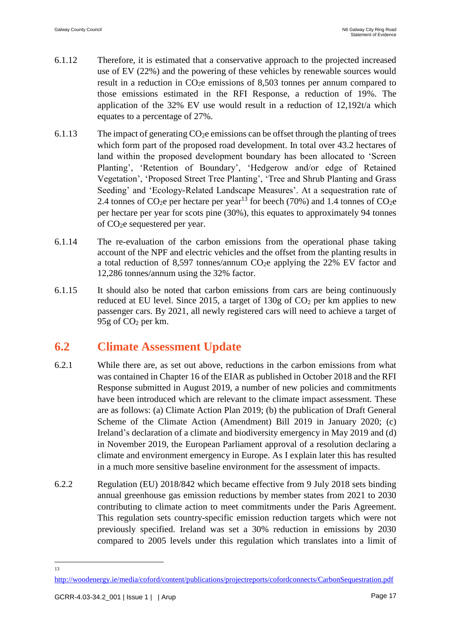- 6.1.12 Therefore, it is estimated that a conservative approach to the projected increased use of EV (22%) and the powering of these vehicles by renewable sources would result in a reduction in  $CO<sub>2</sub>e$  emissions of 8,503 tonnes per annum compared to those emissions estimated in the RFI Response, a reduction of 19%. The application of the 32% EV use would result in a reduction of 12,192t/a which equates to a percentage of 27%.
- 6.1.13 The impact of generating  $CO<sub>2</sub>e$  emissions can be offset through the planting of trees which form part of the proposed road development. In total over 43.2 hectares of land within the proposed development boundary has been allocated to 'Screen Planting', 'Retention of Boundary', 'Hedgerow and/or edge of Retained Vegetation', 'Proposed Street Tree Planting', 'Tree and Shrub Planting and Grass Seeding' and 'Ecology-Related Landscape Measures'. At a sequestration rate of 2.4 tonnes of  $CO<sub>2</sub>e$  per hectare per year<sup>13</sup> for beech (70%) and 1.4 tonnes of  $CO<sub>2</sub>e$ per hectare per year for scots pine (30%), this equates to approximately 94 tonnes of CO2e sequestered per year.
- 6.1.14 The re-evaluation of the carbon emissions from the operational phase taking account of the NPF and electric vehicles and the offset from the planting results in a total reduction of 8,597 tonnes/annum CO2e applying the 22% EV factor and 12,286 tonnes/annum using the 32% factor.
- 6.1.15 It should also be noted that carbon emissions from cars are being continuously reduced at EU level. Since 2015, a target of 130g of  $CO<sub>2</sub>$  per km applies to new passenger cars. By 2021, all newly registered cars will need to achieve a target of  $95g$  of  $CO<sub>2</sub>$  per km.

## **6.2 Climate Assessment Update**

- 6.2.1 While there are, as set out above, reductions in the carbon emissions from what was contained in Chapter 16 of the EIAR as published in October 2018 and the RFI Response submitted in August 2019, a number of new policies and commitments have been introduced which are relevant to the climate impact assessment. These are as follows: (a) Climate Action Plan 2019; (b) the publication of Draft General Scheme of the Climate Action (Amendment) Bill 2019 in January 2020; (c) Ireland's declaration of a climate and biodiversity emergency in May 2019 and (d) in November 2019, the European Parliament approval of a resolution declaring a climate and environment emergency in Europe. As I explain later this has resulted in a much more sensitive baseline environment for the assessment of impacts.
- 6.2.2 Regulation (EU) 2018/842 which became effective from 9 July 2018 sets binding annual greenhouse gas emission reductions by member states from 2021 to 2030 contributing to climate action to meet commitments under the Paris Agreement. This regulation sets country-specific emission reduction targets which were not previously specified. Ireland was set a 30% reduction in emissions by 2030 compared to 2005 levels under this regulation which translates into a limit of

 $\frac{13}{13}$ 

<http://woodenergy.ie/media/coford/content/publications/projectreports/cofordconnects/CarbonSequestration.pdf>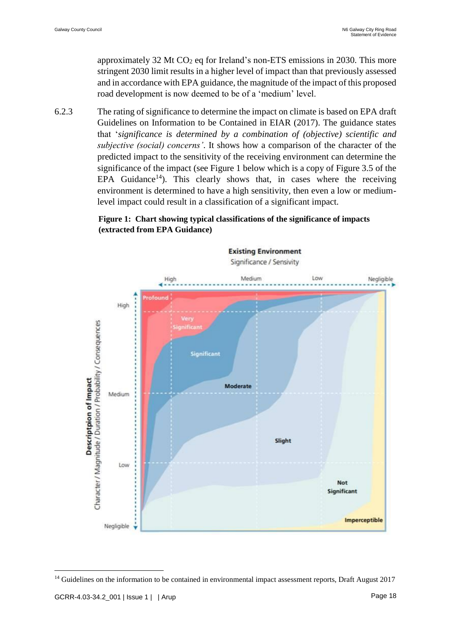approximately 32 Mt  $CO<sub>2</sub>$  eq for Ireland's non-ETS emissions in 2030. This more stringent 2030 limit results in a higher level of impact than that previously assessed and in accordance with EPA guidance, the magnitude of the impact of this proposed road development is now deemed to be of a 'medium' level.

6.2.3 The rating of significance to determine the impact on climate is based on EPA draft Guidelines on Information to be Contained in EIAR (2017). The guidance states that '*significance is determined by a combination of (objective) scientific and subjective (social) concerns'*. It shows how a comparison of the character of the predicted impact to the sensitivity of the receiving environment can determine the significance of the impact (see Figure 1 below which is a copy of Figure 3.5 of the EPA Guidance<sup>14</sup>). This clearly shows that, in cases where the receiving environment is determined to have a high sensitivity, then even a low or mediumlevel impact could result in a classification of a significant impact.

#### **Figure 1: Chart showing typical classifications of the significance of impacts (extracted from EPA Guidance)**



<sup>&</sup>lt;sup>14</sup> Guidelines on the information to be contained in environmental impact assessment reports, Draft August 2017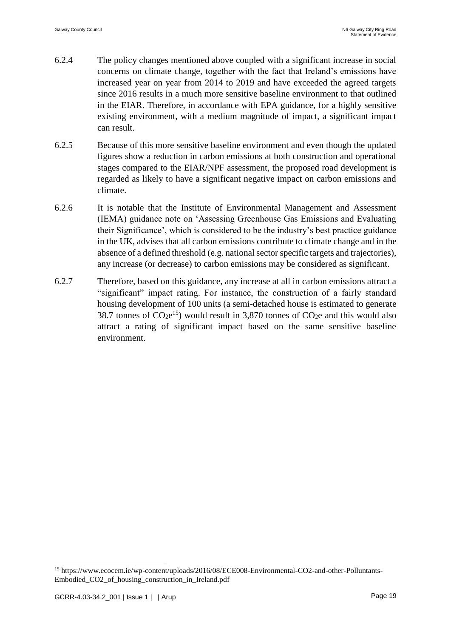- 6.2.4 The policy changes mentioned above coupled with a significant increase in social concerns on climate change, together with the fact that Ireland's emissions have increased year on year from 2014 to 2019 and have exceeded the agreed targets since 2016 results in a much more sensitive baseline environment to that outlined in the EIAR. Therefore, in accordance with EPA guidance, for a highly sensitive existing environment, with a medium magnitude of impact, a significant impact can result.
- 6.2.5 Because of this more sensitive baseline environment and even though the updated figures show a reduction in carbon emissions at both construction and operational stages compared to the EIAR/NPF assessment, the proposed road development is regarded as likely to have a significant negative impact on carbon emissions and climate.
- 6.2.6 It is notable that the Institute of Environmental Management and Assessment (IEMA) guidance note on 'Assessing Greenhouse Gas Emissions and Evaluating their Significance', which is considered to be the industry's best practice guidance in the UK, advises that all carbon emissions contribute to climate change and in the absence of a defined threshold (e.g. national sector specific targets and trajectories), any increase (or decrease) to carbon emissions may be considered as significant.
- 6.2.7 Therefore, based on this guidance, any increase at all in carbon emissions attract a "significant" impact rating. For instance, the construction of a fairly standard housing development of 100 units (a semi-detached house is estimated to generate 38.7 tonnes of  $CO_2e^{15}$ ) would result in 3,870 tonnes of  $CO_2e$  and this would also attract a rating of significant impact based on the same sensitive baseline environment.

<u>.</u>

<sup>&</sup>lt;sup>15</sup> [https://www.ecocem.ie/wp-content/uploads/2016/08/ECE008-Environmental-CO2-and-other-Polluntants-](https://www.ecocem.ie/wp-content/uploads/2016/08/ECE008-Environmental-CO2-and-other-Polluntants-Embodied_CO2_of_housing_construction_in_Ireland.pdf)[Embodied\\_CO2\\_of\\_housing\\_construction\\_in\\_Ireland.pdf](https://www.ecocem.ie/wp-content/uploads/2016/08/ECE008-Environmental-CO2-and-other-Polluntants-Embodied_CO2_of_housing_construction_in_Ireland.pdf)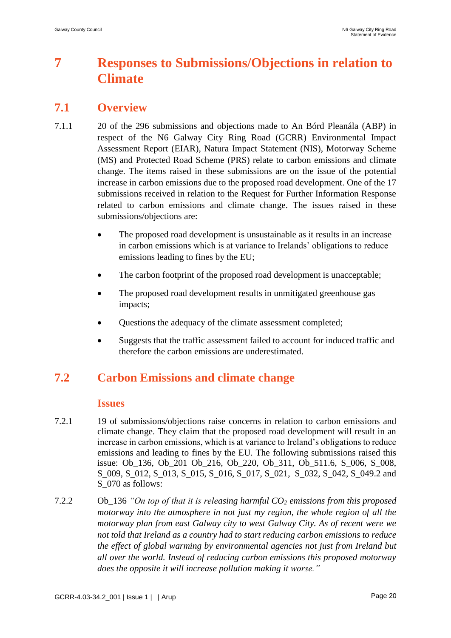# **7 Responses to Submissions/Objections in relation to Climate**

## **7.1 Overview**

- 7.1.1 20 of the 296 submissions and objections made to An Bórd Pleanála (ABP) in respect of the N6 Galway City Ring Road (GCRR) Environmental Impact Assessment Report (EIAR), Natura Impact Statement (NIS), Motorway Scheme (MS) and Protected Road Scheme (PRS) relate to carbon emissions and climate change. The items raised in these submissions are on the issue of the potential increase in carbon emissions due to the proposed road development. One of the 17 submissions received in relation to the Request for Further Information Response related to carbon emissions and climate change. The issues raised in these submissions/objections are:
	- The proposed road development is unsustainable as it results in an increase in carbon emissions which is at variance to Irelands' obligations to reduce emissions leading to fines by the EU;
	- The carbon footprint of the proposed road development is unacceptable;
	- The proposed road development results in unmitigated greenhouse gas impacts;
	- Questions the adequacy of the climate assessment completed;
	- Suggests that the traffic assessment failed to account for induced traffic and therefore the carbon emissions are underestimated.

# **7.2 Carbon Emissions and climate change**

#### **Issues**

- 7.2.1 19 of submissions/objections raise concerns in relation to carbon emissions and climate change. They claim that the proposed road development will result in an increase in carbon emissions, which is at variance to Ireland's obligations to reduce emissions and leading to fines by the EU. The following submissions raised this issue: Ob\_136, Ob\_201 Ob\_216, Ob\_220, Ob\_311, Ob\_511.6, S\_006, S\_008, S\_009, S\_012, S\_013, S\_015, S\_016, S\_017, S\_021, S\_032, S\_042, S\_049.2 and S\_070 as follows:
- 7.2.2 Ob\_136 *"On top of that it is releasing harmful CO<sup>2</sup> emissions from this proposed motorway into the atmosphere in not just my region, the whole region of all the motorway plan from east Galway city to west Galway City. As of recent were we not told that Ireland as a country had to start reducing carbon emissions to reduce the effect of global warming by environmental agencies not just from Ireland but all over the world. Instead of reducing carbon emissions this proposed motorway does the opposite it will increase pollution making it worse."*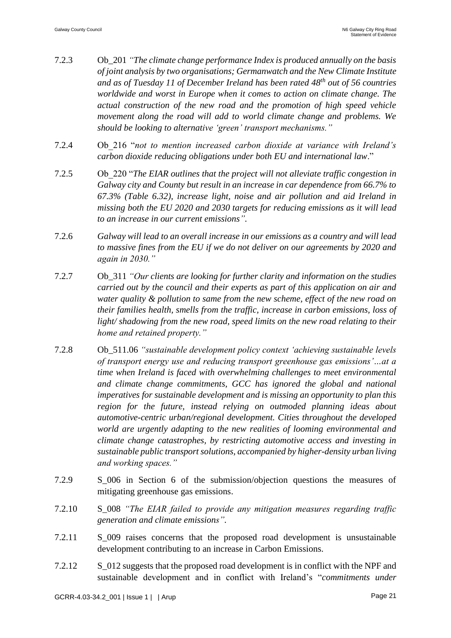- 7.2.3 Ob\_201 *"The climate change performance Index is produced annually on the basis of joint analysis by two organisations; Germanwatch and the New Climate Institute and as of Tuesday 11 of December Ireland has been rated 48th out of 56 countries worldwide and worst in Europe when it comes to action on climate change. The actual construction of the new road and the promotion of high speed vehicle movement along the road will add to world climate change and problems. We should be looking to alternative 'green' transport mechanisms."*
- 7.2.4 Ob\_216 "*not to mention increased carbon dioxide at variance with Ireland's carbon dioxide reducing obligations under both EU and international law*."
- 7.2.5 Ob\_220 "*The EIAR outlines that the project will not alleviate traffic congestion in Galway city and County but result in an increase in car dependence from 66.7% to 67.3% (Table 6.32), increase light, noise and air pollution and aid Ireland in missing both the EU 2020 and 2030 targets for reducing emissions as it will lead to an increase in our current emissions".*
- 7.2.6 *Galway will lead to an overall increase in our emissions as a country and will lead to massive fines from the EU if we do not deliver on our agreements by 2020 and again in 2030."*
- 7.2.7 Ob\_311 *"Our clients are looking for further clarity and information on the studies carried out by the council and their experts as part of this application on air and water quality & pollution to same from the new scheme, effect of the new road on their families health, smells from the traffic, increase in carbon emissions, loss of light/ shadowing from the new road, speed limits on the new road relating to their home and retained property."*
- 7.2.8 Ob\_511.06 *"sustainable development policy context 'achieving sustainable levels of transport energy use and reducing transport greenhouse gas emissions'…at a time when Ireland is faced with overwhelming challenges to meet environmental and climate change commitments, GCC has ignored the global and national imperatives for sustainable development and is missing an opportunity to plan this region for the future, instead relying on outmoded planning ideas about automotive-centric urban/regional development. Cities throughout the developed world are urgently adapting to the new realities of looming environmental and climate change catastrophes, by restricting automotive access and investing in sustainable public transport solutions, accompanied by higher-density urban living and working spaces."*
- 7.2.9 S\_006 in Section 6 of the submission/objection questions the measures of mitigating greenhouse gas emissions.
- 7.2.10 S\_008 *"The EIAR failed to provide any mitigation measures regarding traffic generation and climate emissions".*
- 7.2.11 S\_009 raises concerns that the proposed road development is unsustainable development contributing to an increase in Carbon Emissions.
- 7.2.12 S\_012 suggests that the proposed road development is in conflict with the NPF and sustainable development and in conflict with Ireland's "*commitments under*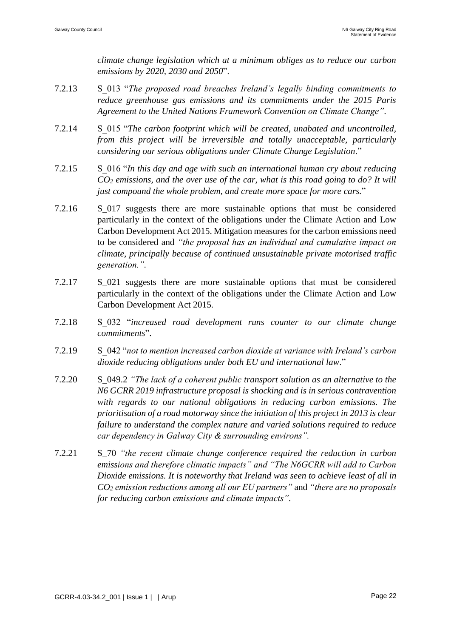*climate change legislation which at a minimum obliges us to reduce our carbon emissions by 2020, 2030 and 2050*".

- 7.2.13 S\_013 "*The proposed road breaches Ireland's legally binding commitments to reduce greenhouse gas emissions and its commitments under the 2015 Paris Agreement to the United Nations Framework Convention on Climate Change"*.
- 7.2.14 S\_015 "*The carbon footprint which will be created, unabated and uncontrolled, from this project will be irreversible and totally unacceptable, particularly considering our serious obligations under Climate Change Legislation*."
- 7.2.15 S\_016 "*In this day and age with such an international human cry about reducing CO<sup>2</sup> emissions, and the over use of the car, what is this road going to do? It will just compound the whole problem, and create more space for more cars.*"
- 7.2.16 S\_017 suggests there are more sustainable options that must be considered particularly in the context of the obligations under the Climate Action and Low Carbon Development Act 2015. Mitigation measures for the carbon emissions need to be considered and *"the proposal has an individual and cumulative impact on climate, principally because of continued unsustainable private motorised traffic generation.".*
- 7.2.17 S\_021 suggests there are more sustainable options that must be considered particularly in the context of the obligations under the Climate Action and Low Carbon Development Act 2015.
- 7.2.18 S\_032 "*increased road development runs counter to our climate change commitments*".
- 7.2.19 S\_042 "*not to mention increased carbon dioxide at variance with Ireland's carbon dioxide reducing obligations under both EU and international law*."
- 7.2.20 S\_049.2 *"The lack of a coherent public transport solution as an alternative to the N6 GCRR 2019 infrastructure proposal is shocking and is in serious contravention with regards to our national obligations in reducing carbon emissions. The prioritisation of a road motorway since the initiation of this project in 2013 is clear failure to understand the complex nature and varied solutions required to reduce car dependency in Galway City & surrounding environs".*
- 7.2.21 S\_70 *"the recent climate change conference required the reduction in carbon emissions and therefore climatic impacts" and "The N6GCRR will add to Carbon Dioxide emissions. It is noteworthy that Ireland was seen to achieve least of all in CO<sup>2</sup> emission reductions among all our EU partners"* and *"there are no proposals for reducing carbon emissions and climate impacts".*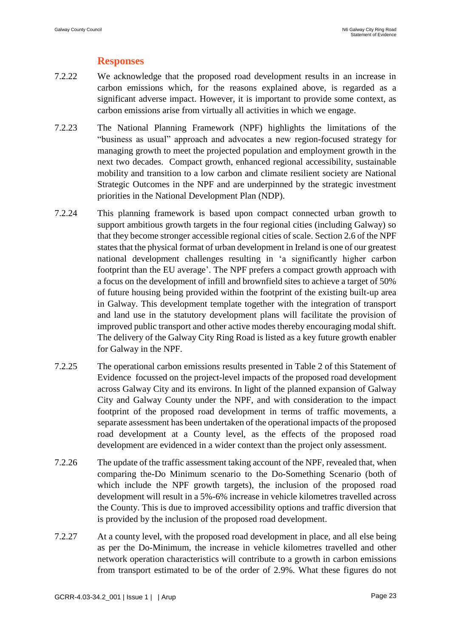### **Responses**

- 7.2.22 We acknowledge that the proposed road development results in an increase in carbon emissions which, for the reasons explained above, is regarded as a significant adverse impact. However, it is important to provide some context, as carbon emissions arise from virtually all activities in which we engage.
- 7.2.23 The National Planning Framework (NPF) highlights the limitations of the "business as usual" approach and advocates a new region-focused strategy for managing growth to meet the projected population and employment growth in the next two decades. Compact growth, enhanced regional accessibility, sustainable mobility and transition to a low carbon and climate resilient society are National Strategic Outcomes in the NPF and are underpinned by the strategic investment priorities in the National Development Plan (NDP).
- 7.2.24 This planning framework is based upon compact connected urban growth to support ambitious growth targets in the four regional cities (including Galway) so that they become stronger accessible regional cities of scale. Section 2.6 of the NPF states that the physical format of urban development in Ireland is one of our greatest national development challenges resulting in 'a significantly higher carbon footprint than the EU average'. The NPF prefers a compact growth approach with a focus on the development of infill and brownfield sites to achieve a target of 50% of future housing being provided within the footprint of the existing built-up area in Galway. This development template together with the integration of transport and land use in the statutory development plans will facilitate the provision of improved public transport and other active modes thereby encouraging modal shift. The delivery of the Galway City Ring Road is listed as a key future growth enabler for Galway in the NPF.
- 7.2.25 The operational carbon emissions results presented in Table 2 of this Statement of Evidence focussed on the project-level impacts of the proposed road development across Galway City and its environs. In light of the planned expansion of Galway City and Galway County under the NPF, and with consideration to the impact footprint of the proposed road development in terms of traffic movements, a separate assessment has been undertaken of the operational impacts of the proposed road development at a County level, as the effects of the proposed road development are evidenced in a wider context than the project only assessment.
- 7.2.26 The update of the traffic assessment taking account of the NPF, revealed that, when comparing the-Do Minimum scenario to the Do-Something Scenario (both of which include the NPF growth targets), the inclusion of the proposed road development will result in a 5%-6% increase in vehicle kilometres travelled across the County. This is due to improved accessibility options and traffic diversion that is provided by the inclusion of the proposed road development.
- 7.2.27 At a county level, with the proposed road development in place, and all else being as per the Do-Minimum, the increase in vehicle kilometres travelled and other network operation characteristics will contribute to a growth in carbon emissions from transport estimated to be of the order of 2.9%. What these figures do not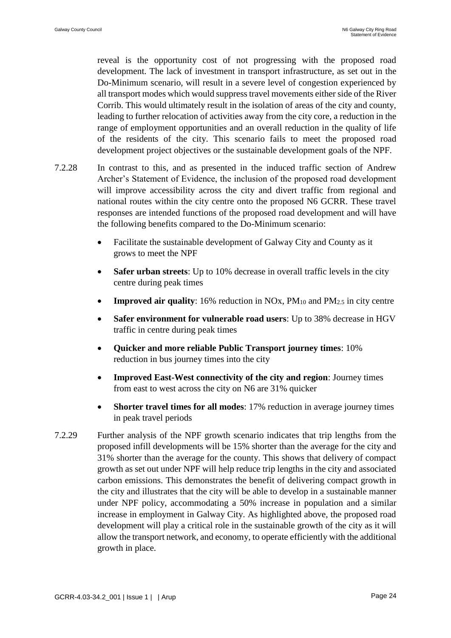reveal is the opportunity cost of not progressing with the proposed road development. The lack of investment in transport infrastructure, as set out in the Do-Minimum scenario, will result in a severe level of congestion experienced by all transport modes which would suppress travel movements either side of the River Corrib. This would ultimately result in the isolation of areas of the city and county, leading to further relocation of activities away from the city core, a reduction in the range of employment opportunities and an overall reduction in the quality of life of the residents of the city. This scenario fails to meet the proposed road development project objectives or the sustainable development goals of the NPF.

- 7.2.28 In contrast to this, and as presented in the induced traffic section of Andrew Archer's Statement of Evidence, the inclusion of the proposed road development will improve accessibility across the city and divert traffic from regional and national routes within the city centre onto the proposed N6 GCRR. These travel responses are intended functions of the proposed road development and will have the following benefits compared to the Do-Minimum scenario:
	- Facilitate the sustainable development of Galway City and County as it grows to meet the NPF
	- **Safer urban streets**: Up to 10% decrease in overall traffic levels in the city centre during peak times
	- **Improved air quality**: 16% reduction in NOx, PM<sub>10</sub> and PM<sub>2.5</sub> in city centre
	- **Safer environment for vulnerable road users**: Up to 38% decrease in HGV traffic in centre during peak times
	- **Quicker and more reliable Public Transport journey times**: 10% reduction in bus journey times into the city
	- **Improved East-West connectivity of the city and region**: Journey times from east to west across the city on N6 are 31% quicker
	- **Shorter travel times for all modes**: 17% reduction in average journey times in peak travel periods
- 7.2.29 Further analysis of the NPF growth scenario indicates that trip lengths from the proposed infill developments will be 15% shorter than the average for the city and 31% shorter than the average for the county. This shows that delivery of compact growth as set out under NPF will help reduce trip lengths in the city and associated carbon emissions. This demonstrates the benefit of delivering compact growth in the city and illustrates that the city will be able to develop in a sustainable manner under NPF policy, accommodating a 50% increase in population and a similar increase in employment in Galway City. As highlighted above, the proposed road development will play a critical role in the sustainable growth of the city as it will allow the transport network, and economy, to operate efficiently with the additional growth in place.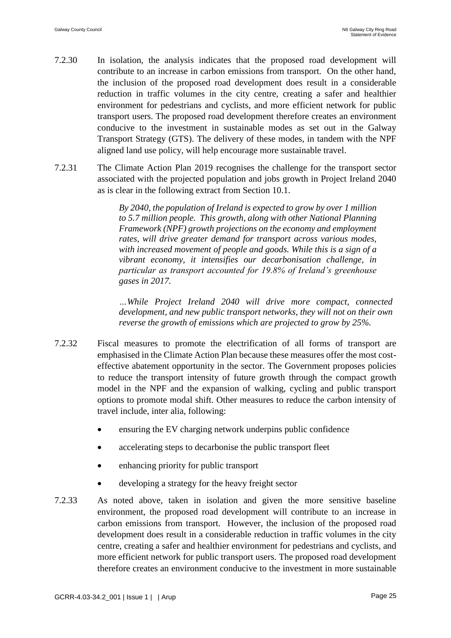- 7.2.30 In isolation, the analysis indicates that the proposed road development will contribute to an increase in carbon emissions from transport. On the other hand, the inclusion of the proposed road development does result in a considerable reduction in traffic volumes in the city centre, creating a safer and healthier environment for pedestrians and cyclists, and more efficient network for public transport users. The proposed road development therefore creates an environment conducive to the investment in sustainable modes as set out in the Galway Transport Strategy (GTS). The delivery of these modes, in tandem with the NPF aligned land use policy, will help encourage more sustainable travel.
- 7.2.31 The Climate Action Plan 2019 recognises the challenge for the transport sector associated with the projected population and jobs growth in Project Ireland 2040 as is clear in the following extract from Section 10.1.

*By 2040, the population of Ireland is expected to grow by over 1 million to 5.7 million people. This growth, along with other National Planning Framework (NPF) growth projections on the economy and employment rates, will drive greater demand for transport across various modes, with increased movement of people and goods. While this is a sign of a vibrant economy, it intensifies our decarbonisation challenge, in particular as transport accounted for 19.8% of Ireland's greenhouse gases in 2017.*

*…While Project Ireland 2040 will drive more compact, connected development, and new public transport networks, they will not on their own reverse the growth of emissions which are projected to grow by 25%.*

- 7.2.32 Fiscal measures to promote the electrification of all forms of transport are emphasised in the Climate Action Plan because these measures offer the most costeffective abatement opportunity in the sector. The Government proposes policies to reduce the transport intensity of future growth through the compact growth model in the NPF and the expansion of walking, cycling and public transport options to promote modal shift. Other measures to reduce the carbon intensity of travel include, inter alia, following:
	- ensuring the EV charging network underpins public confidence
	- accelerating steps to decarbonise the public transport fleet
	- enhancing priority for public transport
	- developing a strategy for the heavy freight sector
- 7.2.33 As noted above, taken in isolation and given the more sensitive baseline environment, the proposed road development will contribute to an increase in carbon emissions from transport. However, the inclusion of the proposed road development does result in a considerable reduction in traffic volumes in the city centre, creating a safer and healthier environment for pedestrians and cyclists, and more efficient network for public transport users. The proposed road development therefore creates an environment conducive to the investment in more sustainable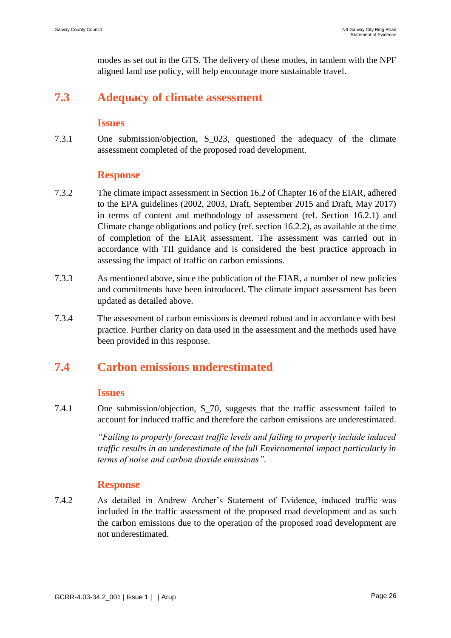modes as set out in the GTS. The delivery of these modes, in tandem with the NPF aligned land use policy, will help encourage more sustainable travel.

## **7.3 Adequacy of climate assessment**

#### **Issues**

7.3.1 One submission/objection, S\_023, questioned the adequacy of the climate assessment completed of the proposed road development.

#### **Response**

- 7.3.2 The climate impact assessment in Section 16.2 of Chapter 16 of the EIAR, adhered to the EPA guidelines (2002, 2003, Draft, September 2015 and Draft, May 2017) in terms of content and methodology of assessment (ref. Section 16.2.1) and Climate change obligations and policy (ref. section 16.2.2), as available at the time of completion of the EIAR assessment. The assessment was carried out in accordance with TII guidance and is considered the best practice approach in assessing the impact of traffic on carbon emissions.
- 7.3.3 As mentioned above, since the publication of the EIAR, a number of new policies and commitments have been introduced. The climate impact assessment has been updated as detailed above.
- 7.3.4 The assessment of carbon emissions is deemed robust and in accordance with best practice. Further clarity on data used in the assessment and the methods used have been provided in this response.

# **7.4 Carbon emissions underestimated**

#### **Issues**

7.4.1 One submission/objection, S\_70*,* suggests that the traffic assessment failed to account for induced traffic and therefore the carbon emissions are underestimated.

> *"Failing to properly forecast traffic levels and failing to properly include induced traffic results in an underestimate of the full Environmental impact particularly in terms of noise and carbon dioxide emissions".*

### **Response**

7.4.2 As detailed in Andrew Archer's Statement of Evidence, induced traffic was included in the traffic assessment of the proposed road development and as such the carbon emissions due to the operation of the proposed road development are not underestimated.